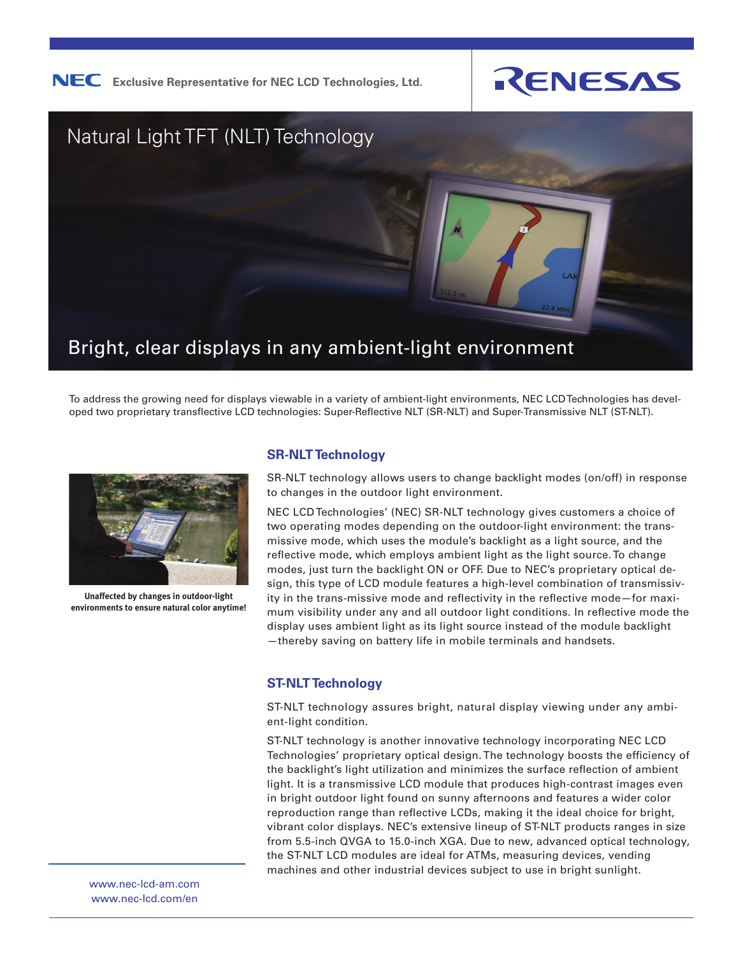

**NEC** Exclusive Representative for NEC LCD Technologies, Ltd.





To address the growing need for displays viewable in a variety of ambient-light environments, NEC LCD Technologies has developed two proprietary transflective LCD technologies: Super-Reflective NLT (SR-NLT) and Super-Transmissive NLT (ST-NLT).



**Unaffected by changes in outdoor-light environments to ensure natural color anytime!**

## **SR-NLT Technology**

SR-NLT technology allows users to change backlight modes (on/off) in response to changes in the outdoor light environment.

NEC LCD Technologies' (NEC) SR-NLT technology gives customers a choice of two operating modes depending on the outdoor-light environment: the transmissive mode, which uses the module's backlight as a light source, and the reflective mode, which employs ambient light as the light source. To change modes, just turn the backlight ON or OFF. Due to NEC's proprietary optical design, this type of LCD module features a high-level combination of transmissivity in the trans-missive mode and reflectivity in the reflective mode—for maximum visibility under any and all outdoor light conditions. In reflective mode the display uses ambient light as its light source instead of the module backlight —thereby saving on battery life in mobile terminals and handsets.

## **ST-NLT Technology**

ST-NLT technology assures bright, natural display viewing under any ambient-light condition.

ST-NLT technology is another innovative technology incorporating NEC LCD Technologies' proprietary optical design. The technology boosts the efficiency of the backlight's light utilization and minimizes the surface reflection of ambient light. It is a transmissive LCD module that produces high-contrast images even in bright outdoor light found on sunny afternoons and features a wider color reproduction range than reflective LCDs, making it the ideal choice for bright, vibrant color displays. NEC's extensive lineup of ST-NLT products ranges in size from 5.5-inch QVGA to 15.0-inch XGA. Due to new, advanced optical technology, the ST-NLT LCD modules are ideal for ATMs, measuring devices, vending machines and other industrial devices subject to use in bright sunlight.

www.nec-lcd-am.com www.nec-lcd.com/en